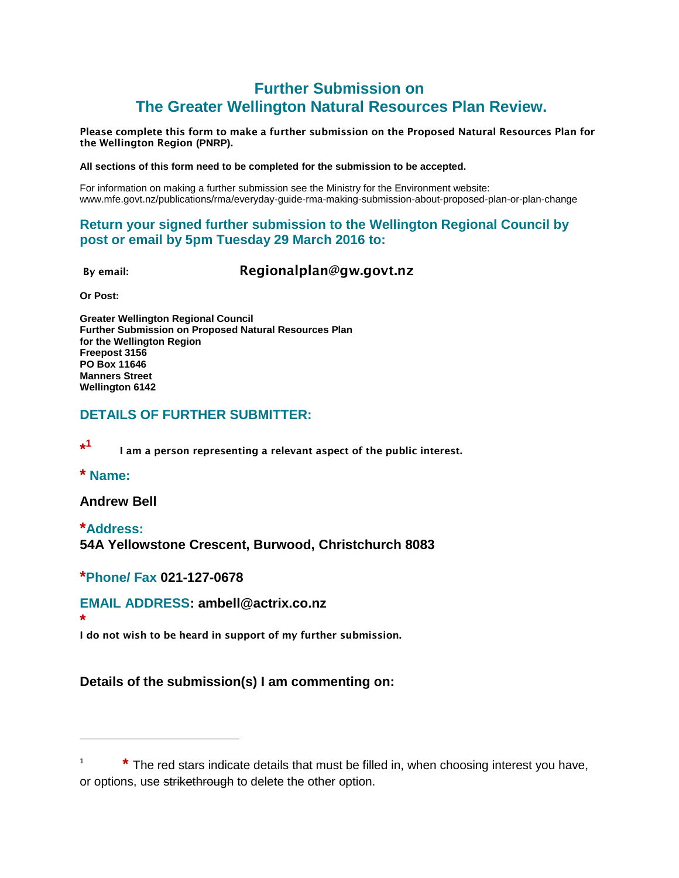# **Further Submission on The Greater Wellington Natural Resources Plan Review.**

**Please complete this form to make a further submission on the Proposed Natural Resources Plan for the Wellington Region (PNRP).**

#### **All sections of this form need to be completed for the submission to be accepted.**

For information on making a further submission see the Ministry for the Environment website: www.mfe.govt.nz/publications/rma/everyday-guide-rma-making-submission-about-proposed-plan-or-plan-change

## **Return your signed further submission to the Wellington Regional Council by post or email by 5pm Tuesday 29 March 2016 to:**

**By email: Regionalplan@gw.govt.nz**

**Or Post:**

**Greater Wellington Regional Council Further Submission on Proposed Natural Resources Plan for the Wellington Region Freepost 3156 PO Box 11646 Manners Street Wellington 6142**

## **DETAILS OF FURTHER SUBMITTER:**

**\* 1 I am a person representing a relevant aspect of the public interest.**

**\* Name:**

 $\overline{a}$ 

**Andrew Bell**

**\*Address: 54A Yellowstone Crescent, Burwood, Christchurch 8083**

#### **\*Phone/ Fax 021-127-0678**

#### **EMAIL ADDRESS: ambell@actrix.co.nz**

**\* I do not wish to be heard in support of my further submission.**

**Details of the submission(s) I am commenting on:** 

<sup>1</sup> **\*** The red stars indicate details that must be filled in, when choosing interest you have, or options, use strikethrough to delete the other option.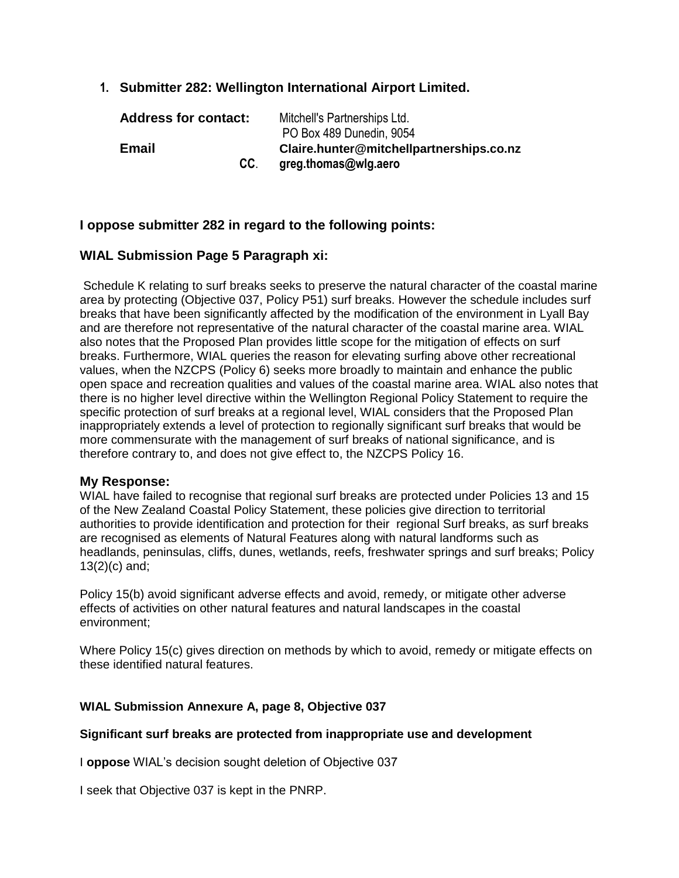**1. Submitter 282: Wellington International Airport Limited.**

| <b>Address for contact:</b> | Mitchell's Partnerships Ltd.<br>PO Box 489 Dunedin, 9054 |
|-----------------------------|----------------------------------------------------------|
| Email                       | Claire.hunter@mitchellpartnerships.co.nz                 |
| CC.                         | greg.thomas@wlg.aero                                     |

#### **I oppose submitter 282 in regard to the following points:**

#### **WIAL Submission Page 5 Paragraph xi:**

Schedule K relating to surf breaks seeks to preserve the natural character of the coastal marine area by protecting (Objective 037, Policy P51) surf breaks. However the schedule includes surf breaks that have been significantly affected by the modification of the environment in Lyall Bay and are therefore not representative of the natural character of the coastal marine area. WIAL also notes that the Proposed Plan provides little scope for the mitigation of effects on surf breaks. Furthermore, WIAL queries the reason for elevating surfing above other recreational values, when the NZCPS (Policy 6) seeks more broadly to maintain and enhance the public open space and recreation qualities and values of the coastal marine area. WIAL also notes that there is no higher level directive within the Wellington Regional Policy Statement to require the specific protection of surf breaks at a regional level, WIAL considers that the Proposed Plan inappropriately extends a level of protection to regionally significant surf breaks that would be more commensurate with the management of surf breaks of national significance, and is therefore contrary to, and does not give effect to, the NZCPS Policy 16.

#### **My Response:**

WIAL have failed to recognise that regional surf breaks are protected under Policies 13 and 15 of the New Zealand Coastal Policy Statement, these policies give direction to territorial authorities to provide identification and protection for their regional Surf breaks, as surf breaks are recognised as elements of Natural Features along with natural landforms such as headlands, peninsulas, cliffs, dunes, wetlands, reefs, freshwater springs and surf breaks; Policy 13(2)(c) and;

Policy 15(b) avoid significant adverse effects and avoid, remedy, or mitigate other adverse effects of activities on other natural features and natural landscapes in the coastal environment;

Where Policy 15(c) gives direction on methods by which to avoid, remedy or mitigate effects on these identified natural features.

#### **WIAL Submission Annexure A, page 8, Objective 037**

#### **Significant surf breaks are protected from inappropriate use and development**

I **oppose** WIAL's decision sought deletion of Objective 037

I seek that Objective 037 is kept in the PNRP.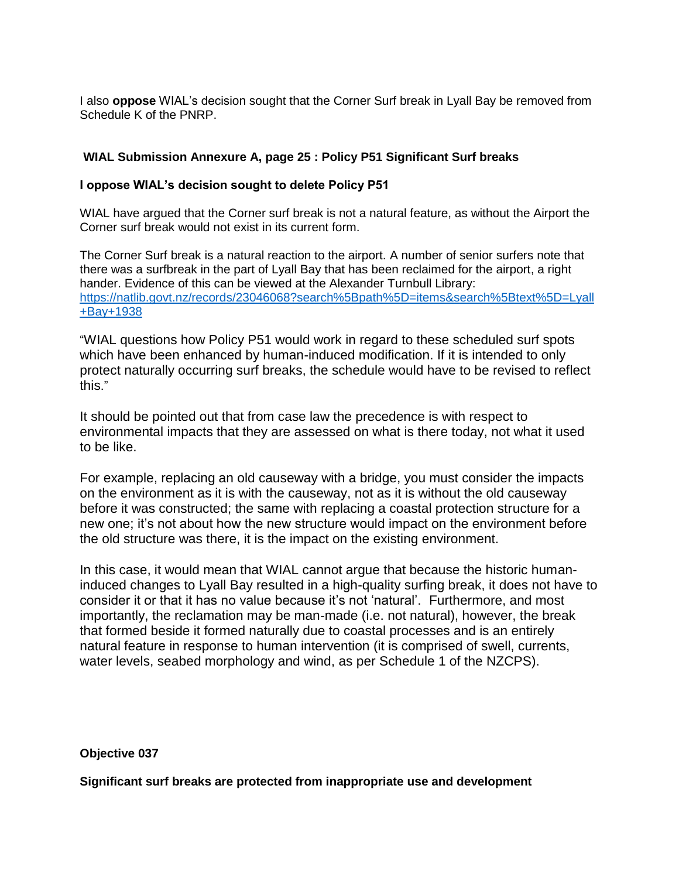I also **oppose** WIAL's decision sought that the Corner Surf break in Lyall Bay be removed from Schedule K of the PNRP.

#### **WIAL Submission Annexure A, page 25 : Policy P51 Significant Surf breaks**

#### **I oppose WIAL's decision sought to delete Policy P51**

WIAL have argued that the Corner surf break is not a natural feature, as without the Airport the Corner surf break would not exist in its current form.

The Corner Surf break is a natural reaction to the airport. A number of senior surfers note that there was a surfbreak in the part of Lyall Bay that has been reclaimed for the airport, a right hander. Evidence of this can be viewed at the Alexander Turnbull Library: [https://natlib.govt.nz/records/23046068?search%5Bpath%5D=items&search%5Btext%5D=Lyall](https://natlib.govt.nz/records/23046068?search%5Bpath%5D=items&search%5Btext%5D=Lyall+Bay+1938) [+Bay+1938](https://natlib.govt.nz/records/23046068?search%5Bpath%5D=items&search%5Btext%5D=Lyall+Bay+1938)

"WIAL questions how Policy P51 would work in regard to these scheduled surf spots which have been enhanced by human-induced modification. If it is intended to only protect naturally occurring surf breaks, the schedule would have to be revised to reflect this."

It should be pointed out that from case law the precedence is with respect to environmental impacts that they are assessed on what is there today, not what it used to be like.

For example, replacing an old causeway with a bridge, you must consider the impacts on the environment as it is with the causeway, not as it is without the old causeway before it was constructed; the same with replacing a coastal protection structure for a new one; it's not about how the new structure would impact on the environment before the old structure was there, it is the impact on the existing environment.

In this case, it would mean that WIAL cannot argue that because the historic humaninduced changes to Lyall Bay resulted in a high-quality surfing break, it does not have to consider it or that it has no value because it's not 'natural'. Furthermore, and most importantly, the reclamation may be man-made (i.e. not natural), however, the break that formed beside it formed naturally due to coastal processes and is an entirely natural feature in response to human intervention (it is comprised of swell, currents, water levels, seabed morphology and wind, as per Schedule 1 of the NZCPS).

#### **Objective 037**

**Significant surf breaks are protected from inappropriate use and development**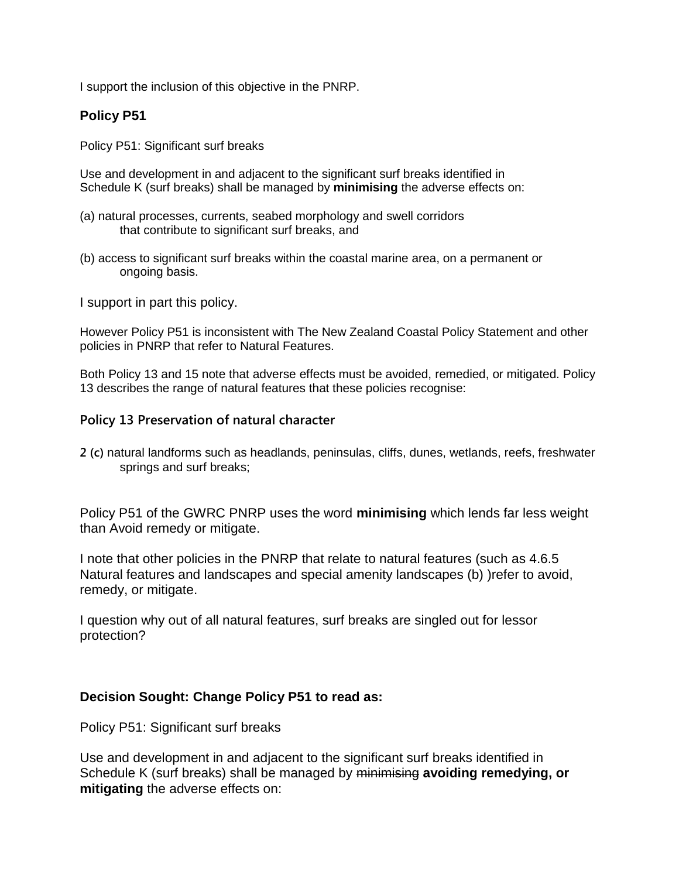I support the inclusion of this objective in the PNRP.

# **Policy P51**

Policy P51: Significant surf breaks

Use and development in and adjacent to the significant surf breaks identified in Schedule K (surf breaks) shall be managed by **minimising** the adverse effects on:

- (a) natural processes, currents, seabed morphology and swell corridors that contribute to significant surf breaks, and
- (b) access to significant surf breaks within the coastal marine area, on a permanent or ongoing basis.

I support in part this policy.

However Policy P51 is inconsistent with The New Zealand Coastal Policy Statement and other policies in PNRP that refer to Natural Features.

Both Policy 13 and 15 note that adverse effects must be avoided, remedied, or mitigated. Policy 13 describes the range of natural features that these policies recognise:

## **Policy 13 Preservation of natural character**

**2 (c)** natural landforms such as headlands, peninsulas, cliffs, dunes, wetlands, reefs, freshwater springs and surf breaks;

Policy P51 of the GWRC PNRP uses the word **minimising** which lends far less weight than Avoid remedy or mitigate.

I note that other policies in the PNRP that relate to natural features (such as 4.6.5 Natural features and landscapes and special amenity landscapes (b) )refer to avoid, remedy, or mitigate.

I question why out of all natural features, surf breaks are singled out for lessor protection?

#### **Decision Sought: Change Policy P51 to read as:**

Policy P51: Significant surf breaks

Use and development in and adjacent to the significant surf breaks identified in Schedule K (surf breaks) shall be managed by minimising **avoiding remedying, or mitigating** the adverse effects on: